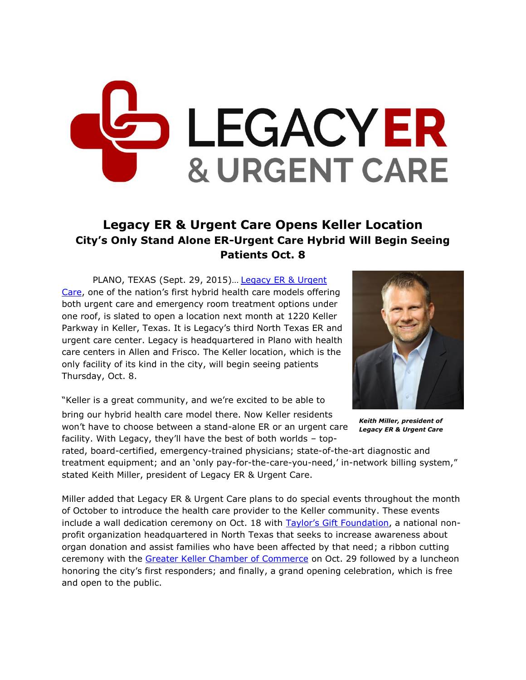## LEGACYER **& URGENT CARE**

## **Legacy ER & Urgent Care Opens Keller Location City's Only Stand Alone ER-Urgent Care Hybrid Will Begin Seeing Patients Oct. 8**

PLANO, TEXAS (Sept. 29, 2015)… [Legacy ER & Urgent](http://legacyer.com/)  [Care,](http://legacyer.com/) one of the nation's first hybrid health care models offering both urgent care and emergency room treatment options under one roof, is slated to open a location next month at 1220 Keller Parkway in Keller, Texas. It is Legacy's third North Texas ER and urgent care center. Legacy is headquartered in Plano with health care centers in Allen and Frisco. The Keller location, which is the only facility of its kind in the city, will begin seeing patients Thursday, Oct. 8.

"Keller is a great community, and we're excited to be able to

bring our hybrid health care model there. Now Keller residents won't have to choose between a stand-alone ER or an urgent care facility. With Legacy, they'll have the best of both worlds – top-



*Keith Miller, president of Legacy ER & Urgent Care*

rated, board-certified, emergency-trained physicians; state-of-the-art diagnostic and treatment equipment; and an 'only pay-for-the-care-you-need,' in-network billing system," stated Keith Miller, president of Legacy ER & Urgent Care.

Miller added that Legacy ER & Urgent Care plans to do special events throughout the month of October to introduce the health care provider to the Keller community. These events include a wall dedication ceremony on Oct. 18 with [Taylor's Gift Foundation](http://taylorsgift.org/), a national nonprofit organization headquartered in North Texas that seeks to increase awareness about organ donation and assist families who have been affected by that need; a ribbon cutting ceremony with the [Greater Keller Chamber of Commerce](http://www.kellerchamber.com/) on Oct. 29 followed by a luncheon honoring the city's first responders; and finally, a grand opening celebration, which is free and open to the public.